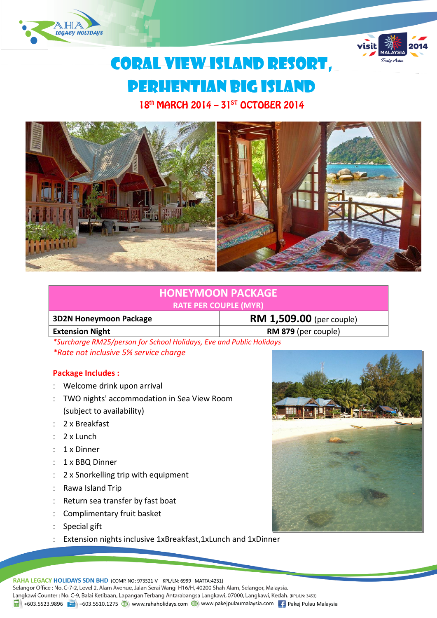



# CORAL VIEW ISLAND RESORT, pERHENTIAN Big Island

18th MARCH 2014 - 31st OCTOBER 2014



## **HONEYMOON PACKAGE RATE PER COUPLE (MYR)**

| <b>3D2N Honeymoon Package</b> | <b>RM 1,509.00</b> (per couple) |
|-------------------------------|---------------------------------|
| <b>Extension Night</b>        | <b>RM 879</b> (per couple)      |

*\*Surcharge RM25/person for School Holidays, Eve and Public Holidays \*Rate not inclusive 5% service charge*

## **Package Includes :**

- Welcome drink upon arrival
- TWO nights' accommodation in Sea View Room (subject to availability)
- 2 x Breakfast
- $\div$  2 x Lunch
- $: 1 \times$  Dinner
- : 1 x BBO Dinner
- 2 x Snorkelling trip with equipment
- : Rawa Island Trip
- : Return sea transfer by fast boat
- Complimentary fruit basket
- : Special gift
- Extension nights inclusive 1xBreakfast,1xLunch and 1xDinner



RAHA LEGACY HOLIDAYS SDN BHD (COMP. NO: 973521-V KPL/LN: 6999 MATTA:4231) Selangor Office : No. C-7-2, Level 2, Alam Avenue, Jalan Serai Wangi H16/H, 40200 Shah Alam, Selangor, Malaysia.

Langkawi Counter: No. C-9, Balai Ketibaan, Lapangan Terbang Antarabangsa Langkawi, 07000, Langkawi, Kedah. (KPL/LN: 3453)

1 +603.5523.9896 +603.5510.1275 (b) www.rahaholidays.com (b) www.pakejpulaumalaysia.com [4] Pakej Pulau Malaysia